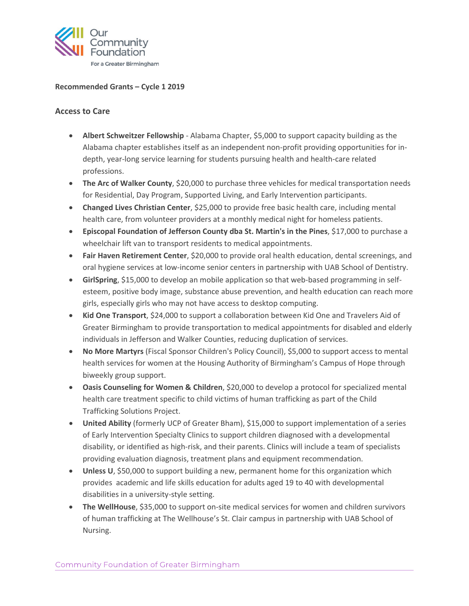

### **Recommended Grants – Cycle 1 2019**

### **Access to Care**

- **Albert Schweitzer Fellowship**  Alabama Chapter, \$5,000 to support capacity building as the Alabama chapter establishes itself as an independent non-profit providing opportunities for indepth, year-long service learning for students pursuing health and health-care related professions.
- **The Arc of Walker County**, \$20,000 to purchase three vehicles for medical transportation needs for Residential, Day Program, Supported Living, and Early Intervention participants.
- **Changed Lives Christian Center**, \$25,000 to provide free basic health care, including mental health care, from volunteer providers at a monthly medical night for homeless patients.
- **Episcopal Foundation of Jefferson County dba St. Martin's in the Pines**, \$17,000 to purchase a wheelchair lift van to transport residents to medical appointments.
- **Fair Haven Retirement Center**, \$20,000 to provide oral health education, dental screenings, and oral hygiene services at low-income senior centers in partnership with UAB School of Dentistry.
- **GirlSpring**, \$15,000 to develop an mobile application so that web-based programming in selfesteem, positive body image, substance abuse prevention, and health education can reach more girls, especially girls who may not have access to desktop computing.
- **Kid One Transport**, \$24,000 to support a collaboration between Kid One and Travelers Aid of Greater Birmingham to provide transportation to medical appointments for disabled and elderly individuals in Jefferson and Walker Counties, reducing duplication of services.
- **No More Martyrs** (Fiscal Sponsor Children's Policy Council), \$5,000 to support access to mental health services for women at the Housing Authority of Birmingham's Campus of Hope through biweekly group support.
- **Oasis Counseling for Women & Children**, \$20,000 to develop a protocol for specialized mental health care treatment specific to child victims of human trafficking as part of the Child Trafficking Solutions Project.
- **United Ability** (formerly UCP of Greater Bham), \$15,000 to support implementation of a series of Early Intervention Specialty Clinics to support children diagnosed with a developmental disability, or identified as high-risk, and their parents. Clinics will include a team of specialists providing evaluation diagnosis, treatment plans and equipment recommendation.
- **Unless U**, \$50,000 to support building a new, permanent home for this organization which provides academic and life skills education for adults aged 19 to 40 with developmental disabilities in a university-style setting.
- **The WellHouse**, \$35,000 to support on-site medical services for women and children survivors of human trafficking at The Wellhouse's St. Clair campus in partnership with UAB School of Nursing.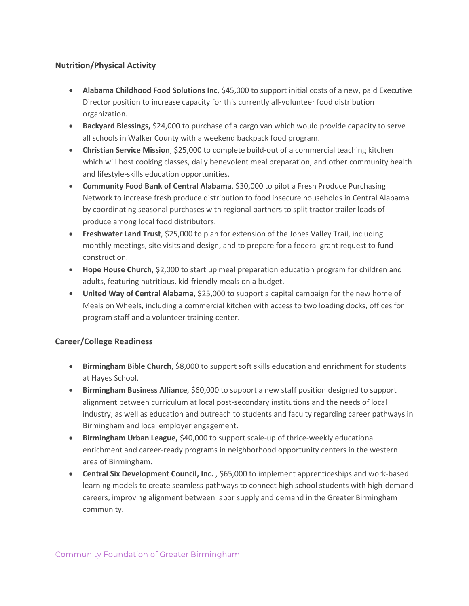## **Nutrition/Physical Activity**

- **Alabama Childhood Food Solutions Inc**, \$45,000 to support initial costs of a new, paid Executive Director position to increase capacity for this currently all-volunteer food distribution organization.
- **Backyard Blessings,** \$24,000 to purchase of a cargo van which would provide capacity to serve all schools in Walker County with a weekend backpack food program.
- **Christian Service Mission**, \$25,000 to complete build-out of a commercial teaching kitchen which will host cooking classes, daily benevolent meal preparation, and other community health and lifestyle-skills education opportunities.
- **Community Food Bank of Central Alabama**, \$30,000 to pilot a Fresh Produce Purchasing Network to increase fresh produce distribution to food insecure households in Central Alabama by coordinating seasonal purchases with regional partners to split tractor trailer loads of produce among local food distributors.
- **Freshwater Land Trust**, \$25,000 to plan for extension of the Jones Valley Trail, including monthly meetings, site visits and design, and to prepare for a federal grant request to fund construction.
- **Hope House Church**, \$2,000 to start up meal preparation education program for children and adults, featuring nutritious, kid-friendly meals on a budget.
- **United Way of Central Alabama,** \$25,000 to support a capital campaign for the new home of Meals on Wheels, including a commercial kitchen with access to two loading docks, offices for program staff and a volunteer training center.

### **Career/College Readiness**

- **Birmingham Bible Church**, \$8,000 to support soft skills education and enrichment for students at Hayes School.
- **Birmingham Business Alliance**, \$60,000 to support a new staff position designed to support alignment between curriculum at local post-secondary institutions and the needs of local industry, as well as education and outreach to students and faculty regarding career pathways in Birmingham and local employer engagement.
- **Birmingham Urban League,** \$40,000 to support scale-up of thrice-weekly educational enrichment and career-ready programs in neighborhood opportunity centers in the western area of Birmingham.
- **Central Six Development Council, Inc.**, \$65,000 to implement apprenticeships and work-based learning models to create seamless pathways to connect high school students with high-demand careers, improving alignment between labor supply and demand in the Greater Birmingham community.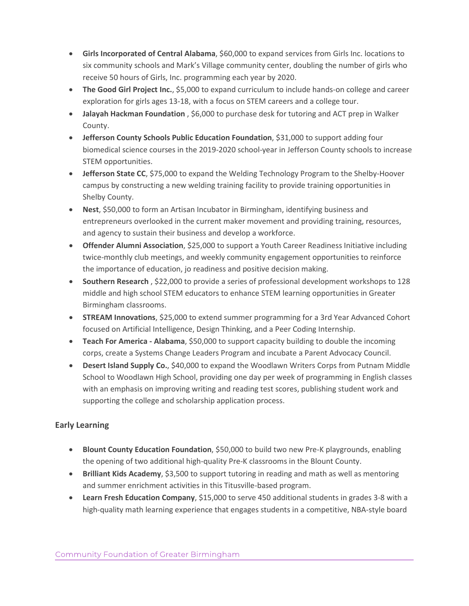- **Girls Incorporated of Central Alabama**, \$60,000 to expand services from Girls Inc. locations to six community schools and Mark's Village community center, doubling the number of girls who receive 50 hours of Girls, Inc. programming each year by 2020.
- **The Good Girl Project Inc.**, \$5,000 to expand curriculum to include hands-on college and career exploration for girls ages 13-18, with a focus on STEM careers and a college tour.
- **Jalayah Hackman Foundation** , \$6,000 to purchase desk for tutoring and ACT prep in Walker County.
- **Jefferson County Schools Public Education Foundation**, \$31,000 to support adding four biomedical science courses in the 2019-2020 school-year in Jefferson County schools to increase STEM opportunities.
- **Jefferson State CC**, \$75,000 to expand the Welding Technology Program to the Shelby-Hoover campus by constructing a new welding training facility to provide training opportunities in Shelby County.
- **Nest**, \$50,000 to form an Artisan Incubator in Birmingham, identifying business and entrepreneurs overlooked in the current maker movement and providing training, resources, and agency to sustain their business and develop a workforce.
- **Offender Alumni Association**, \$25,000 to support a Youth Career Readiness Initiative including twice-monthly club meetings, and weekly community engagement opportunities to reinforce the importance of education, jo readiness and positive decision making.
- **Southern Research** , \$22,000 to provide a series of professional development workshops to 128 middle and high school STEM educators to enhance STEM learning opportunities in Greater Birmingham classrooms.
- **STREAM Innovations**, \$25,000 to extend summer programming for a 3rd Year Advanced Cohort focused on Artificial Intelligence, Design Thinking, and a Peer Coding Internship.
- **Teach For America - Alabama**, \$50,000 to support capacity building to double the incoming corps, create a Systems Change Leaders Program and incubate a Parent Advocacy Council.
- **Desert Island Supply Co.**, \$40,000 to expand the Woodlawn Writers Corps from Putnam Middle School to Woodlawn High School, providing one day per week of programming in English classes with an emphasis on improving writing and reading test scores, publishing student work and supporting the college and scholarship application process.

# **Early Learning**

- **Blount County Education Foundation**, \$50,000 to build two new Pre-K playgrounds, enabling the opening of two additional high-quality Pre-K classrooms in the Blount County.
- **Brilliant Kids Academy**, \$3,500 to support tutoring in reading and math as well as mentoring and summer enrichment activities in this Titusville-based program.
- **Learn Fresh Education Company**, \$15,000 to serve 450 additional students in grades 3-8 with a high-quality math learning experience that engages students in a competitive, NBA-style board